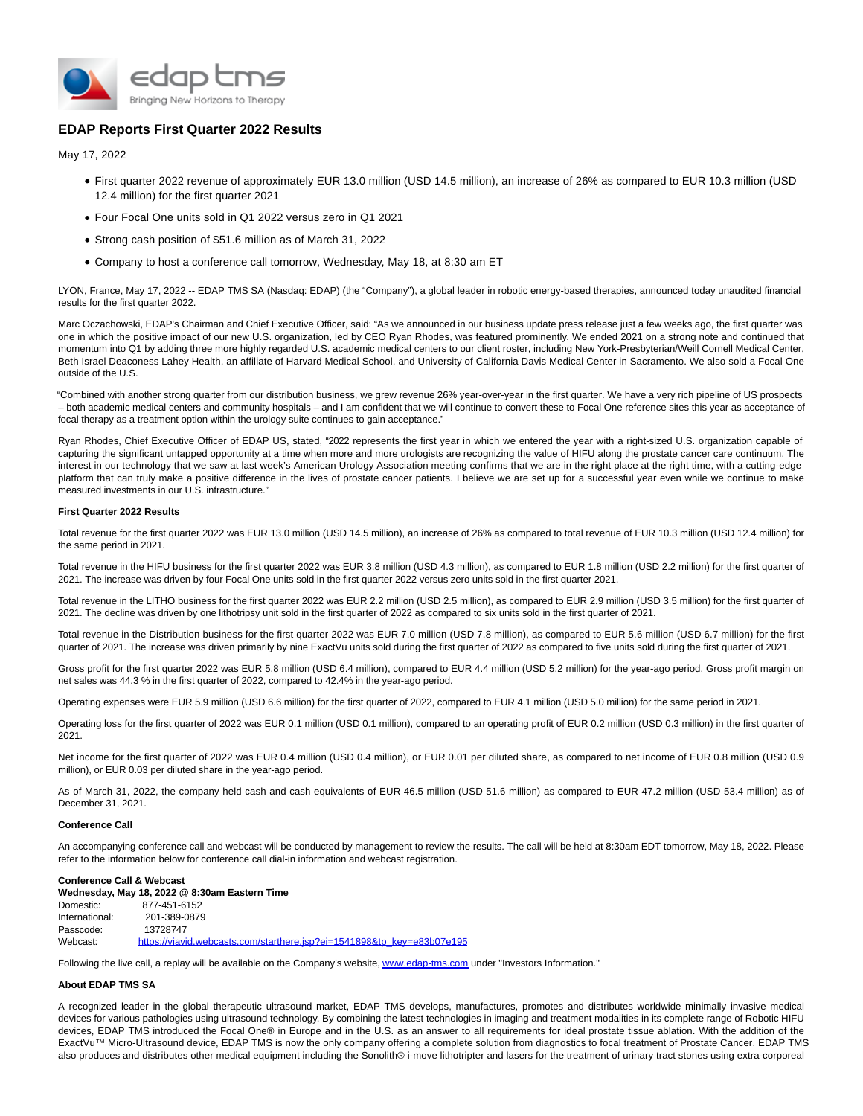

# **EDAP Reports First Quarter 2022 Results**

May 17, 2022

- First quarter 2022 revenue of approximately EUR 13.0 million (USD 14.5 million), an increase of 26% as compared to EUR 10.3 million (USD 12.4 million) for the first quarter 2021
- Four Focal One units sold in Q1 2022 versus zero in Q1 2021
- Strong cash position of \$51.6 million as of March 31, 2022
- Company to host a conference call tomorrow, Wednesday, May 18, at 8:30 am ET

LYON, France, May 17, 2022 -- EDAP TMS SA (Nasdaq: EDAP) (the "Company"), a global leader in robotic energy-based therapies, announced today unaudited financial results for the first quarter 2022.

Marc Oczachowski, EDAP's Chairman and Chief Executive Officer, said: "As we announced in our business update press release just a few weeks ago, the first quarter was one in which the positive impact of our new U.S. organization, led by CEO Ryan Rhodes, was featured prominently. We ended 2021 on a strong note and continued that momentum into Q1 by adding three more highly regarded U.S. academic medical centers to our client roster, including New York-Presbyterian/Weill Cornell Medical Center, Beth Israel Deaconess Lahey Health, an affiliate of Harvard Medical School, and University of California Davis Medical Center in Sacramento. We also sold a Focal One outside of the U.S.

"Combined with another strong quarter from our distribution business, we grew revenue 26% year-over-year in the first quarter. We have a very rich pipeline of US prospects – both academic medical centers and community hospitals – and I am confident that we will continue to convert these to Focal One reference sites this year as acceptance of focal therapy as a treatment option within the urology suite continues to gain acceptance."

Ryan Rhodes, Chief Executive Officer of EDAP US, stated, "2022 represents the first year in which we entered the year with a right-sized U.S. organization capable of capturing the significant untapped opportunity at a time when more and more urologists are recognizing the value of HIFU along the prostate cancer care continuum. The interest in our technology that we saw at last week's American Urology Association meeting confirms that we are in the right place at the right time, with a cutting-edge platform that can truly make a positive difference in the lives of prostate cancer patients. I believe we are set up for a successful year even while we continue to make measured investments in our U.S. infrastructure."

### **First Quarter 2022 Results**

Total revenue for the first quarter 2022 was EUR 13.0 million (USD 14.5 million), an increase of 26% as compared to total revenue of EUR 10.3 million (USD 12.4 million) for the same period in 2021.

Total revenue in the HIFU business for the first quarter 2022 was EUR 3.8 million (USD 4.3 million), as compared to EUR 1.8 million (USD 2.2 million) for the first quarter of 2021. The increase was driven by four Focal One units sold in the first quarter 2022 versus zero units sold in the first quarter 2021.

Total revenue in the LITHO business for the first quarter 2022 was EUR 2.2 million (USD 2.5 million), as compared to EUR 2.9 million (USD 3.5 million) for the first quarter of 2021. The decline was driven by one lithotripsy unit sold in the first quarter of 2022 as compared to six units sold in the first quarter of 2021.

Total revenue in the Distribution business for the first quarter 2022 was EUR 7.0 million (USD 7.8 million), as compared to EUR 5.6 million (USD 6.7 million) for the first quarter of 2021. The increase was driven primarily by nine ExactVu units sold during the first quarter of 2022 as compared to five units sold during the first quarter of 2021.

Gross profit for the first quarter 2022 was EUR 5.8 million (USD 6.4 million), compared to EUR 4.4 million (USD 5.2 million) for the year-ago period. Gross profit margin on net sales was 44.3 % in the first quarter of 2022, compared to 42.4% in the year-ago period.

Operating expenses were EUR 5.9 million (USD 6.6 million) for the first quarter of 2022, compared to EUR 4.1 million (USD 5.0 million) for the same period in 2021.

Operating loss for the first quarter of 2022 was EUR 0.1 million (USD 0.1 million), compared to an operating profit of EUR 0.2 million (USD 0.3 million) in the first quarter of 2021.

Net income for the first quarter of 2022 was EUR 0.4 million (USD 0.4 million), or EUR 0.01 per diluted share, as compared to net income of EUR 0.8 million (USD 0.9 million), or EUR 0.03 per diluted share in the year-ago period.

As of March 31, 2022, the company held cash and cash equivalents of EUR 46.5 million (USD 51.6 million) as compared to EUR 47.2 million (USD 53.4 million) as of December 31, 2021.

### **Conference Call**

An accompanying conference call and webcast will be conducted by management to review the results. The call will be held at 8:30am EDT tomorrow, May 18, 2022. Please refer to the information below for conference call dial-in information and webcast registration.

## **Conference Call & Webcast**

**Wednesday, May 18, 2022 @ 8:30am Eastern Time** Domestic: 877-451-6152 International: 201-389-0879<br>Passcode: 13728747 Passcode: Webcast: [https://viavid.webcasts.com/starthere.jsp?ei=1541898&tp\\_key=e83b07e195](https://www.globenewswire.com/Tracker?data=LqQNF9Jkqf2CIewipW3AeFnkbZJyDJrM-jQfX4SVm_hOSoxlivZMioKhUN64tEgAjYTGzoymIPMadp-HrLPfodWhOfm8q4WiSefqB668SCjZdsXWbVb5Ij2ijO7Wyxq1ce_rAFb8oM1nfIMxizwcirm4x9LRuL45HWhscwxfJ6RH8s34zZ91EBBQs4GnYPJT5I7LasmBUUdOOOP_Bojs-9RPJUChCysuh4I_qxDE0uw=)

Following the live call, a replay will be available on the Company's website, [www.edap-tms.com u](https://www.globenewswire.com/Tracker?data=hoNMWQv4GUo_WGf7ynYb4oC7mjm7UQpqd_CF7-MCMRmObLEeS_Zna96JbevDV6Vfw06FVd2_AlksM3QNc7R4HSjRmIkQqn7qQxBREXNYoBDQJbUPAATBNWkJ_2s_9sj0)nder "Investors Information."

## **About EDAP TMS SA**

A recognized leader in the global therapeutic ultrasound market, EDAP TMS develops, manufactures, promotes and distributes worldwide minimally invasive medical devices for various pathologies using ultrasound technology. By combining the latest technologies in imaging and treatment modalities in its complete range of Robotic HIFU devices, EDAP TMS introduced the Focal One® in Europe and in the U.S. as an answer to all requirements for ideal prostate tissue ablation. With the addition of the ExactVu™ Micro-Ultrasound device, EDAP TMS is now the only company offering a complete solution from diagnostics to focal treatment of Prostate Cancer. EDAP TMS also produces and distributes other medical equipment including the Sonolith® i-move lithotripter and lasers for the treatment of urinary tract stones using extra-corporeal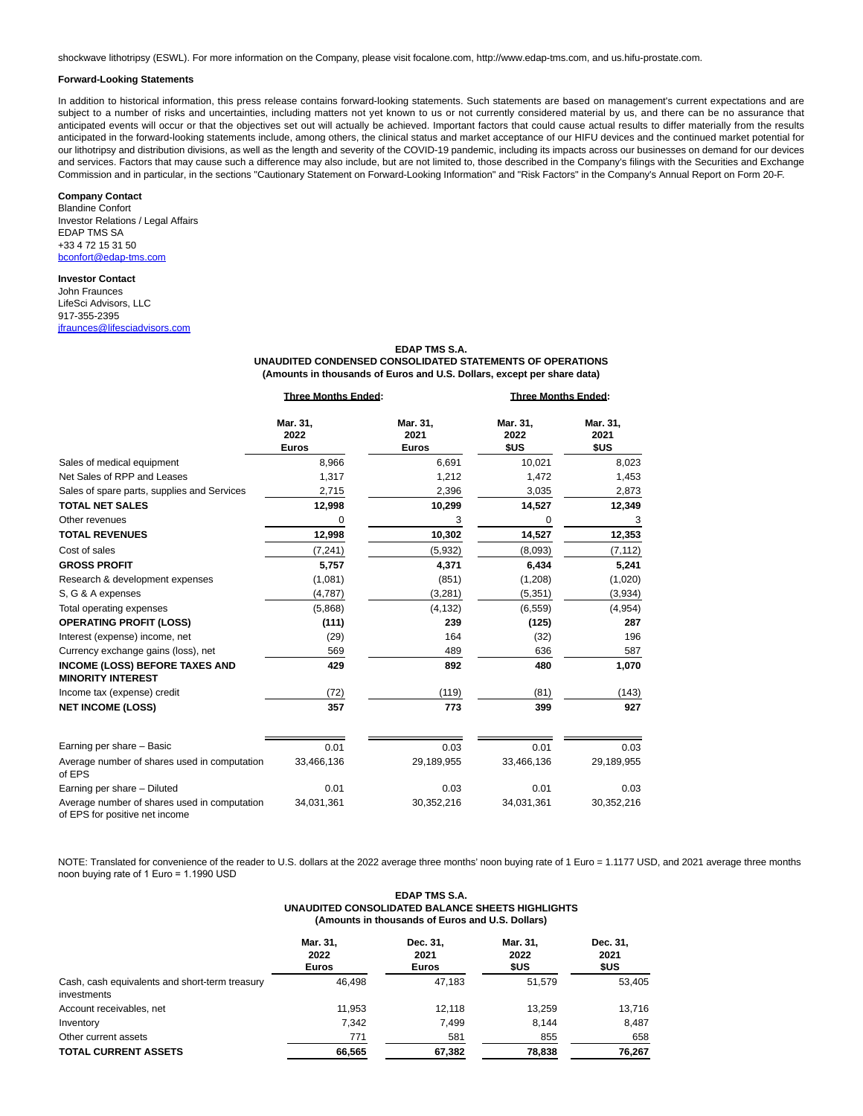shockwave lithotripsy (ESWL). For more information on the Company, please visit focalone.com, http://www.edap-tms.com, and us.hifu-prostate.com.

#### **Forward-Looking Statements**

In addition to historical information, this press release contains forward-looking statements. Such statements are based on management's current expectations and are subject to a number of risks and uncertainties, including matters not yet known to us or not currently considered material by us, and there can be no assurance that anticipated events will occur or that the objectives set out will actually be achieved. Important factors that could cause actual results to differ materially from the results anticipated in the forward-looking statements include, among others, the clinical status and market acceptance of our HIFU devices and the continued market potential for our lithotripsy and distribution divisions, as well as the length and severity of the COVID-19 pandemic, including its impacts across our businesses on demand for our devices and services. Factors that may cause such a difference may also include, but are not limited to, those described in the Company's filings with the Securities and Exchange Commission and in particular, in the sections "Cautionary Statement on Forward-Looking Information" and "Risk Factors" in the Company's Annual Report on Form 20-F.

## **Company Contact**

Blandine Confort Investor Relations / Legal Affairs EDAP TMS SA +33 4 72 15 31 50 [bconfort@edap-tms.com](https://www.globenewswire.com/Tracker?data=2Orxv2ELnrDNmd5E2fcDRyDvmiEYlHsyrauShahBbuTvXGOhG2WhXVhM80lTMg3nmsjzr4tZdSr3275FVXagcxnqNRMZGdsc3fu3VTaNF9I=)

## **Investor Contact**

John Fraunces LifeSci Advisors, LLC 917-355-2395 [jfraunces@lifesciadvisors.com](https://www.globenewswire.com/Tracker?data=tnnbgDqLYs9LzRT6BdOA4m4m8__l9THUz2rlodKcEPqcqhFpJZHCi_CNsLb94fs9I9WhArnv2MeMtuhDmPcz8qoVGx_dsltNttaqVGvszZBWeszBiakoJK31w2vIjiy5)

#### **EDAP TMS S.A.**

**UNAUDITED CONDENSED CONSOLIDATED STATEMENTS OF OPERATIONS (Amounts in thousands of Euros and U.S. Dollars, except per share data)**

|                                                                                | <b>Three Months Ended:</b> |                                  | <b>Three Months Ended:</b> |                          |
|--------------------------------------------------------------------------------|----------------------------|----------------------------------|----------------------------|--------------------------|
|                                                                                | Mar. 31,<br>2022<br>Euros  | Mar. 31,<br>2021<br><b>Euros</b> | Mar. 31,<br>2022<br>\$US   | Mar. 31,<br>2021<br>\$US |
| Sales of medical equipment                                                     | 8,966                      | 6,691                            | 10,021                     | 8,023                    |
| Net Sales of RPP and Leases                                                    | 1,317                      | 1,212                            | 1,472                      | 1,453                    |
| Sales of spare parts, supplies and Services                                    | 2,715                      | 2,396                            | 3,035                      | 2,873                    |
| <b>TOTAL NET SALES</b>                                                         | 12,998                     | 10,299                           | 14,527                     | 12,349                   |
| Other revenues                                                                 | 0                          | 3                                | 0                          | 3                        |
| <b>TOTAL REVENUES</b>                                                          | 12,998                     | 10,302                           | 14,527                     | 12,353                   |
| Cost of sales                                                                  | (7, 241)                   | (5,932)                          | (8,093)                    | (7, 112)                 |
| <b>GROSS PROFIT</b>                                                            | 5,757                      | 4,371                            | 6,434                      | 5,241                    |
| Research & development expenses                                                | (1,081)                    | (851)                            | (1,208)                    | (1,020)                  |
| S, G & A expenses                                                              | (4,787)                    | (3, 281)                         | (5, 351)                   | (3,934)                  |
| Total operating expenses                                                       | (5,868)                    | (4, 132)                         | (6, 559)                   | (4, 954)                 |
| <b>OPERATING PROFIT (LOSS)</b>                                                 | (111)                      | 239                              | (125)                      | 287                      |
| Interest (expense) income, net                                                 | (29)                       | 164                              | (32)                       | 196                      |
| Currency exchange gains (loss), net                                            | 569                        | 489                              | 636                        | 587                      |
| <b>INCOME (LOSS) BEFORE TAXES AND</b><br><b>MINORITY INTEREST</b>              | 429                        | 892                              | 480                        | 1,070                    |
| Income tax (expense) credit                                                    | (72)                       | (119)                            | (81)                       | (143)                    |
| <b>NET INCOME (LOSS)</b>                                                       | 357                        | 773                              | 399                        | 927                      |
| Earning per share - Basic                                                      | 0.01                       | 0.03                             | 0.01                       | 0.03                     |
| Average number of shares used in computation<br>of EPS                         | 33,466,136                 | 29,189,955                       | 33,466,136                 | 29,189,955               |
| Earning per share - Diluted                                                    | 0.01                       | 0.03                             | 0.01                       | 0.03                     |
| Average number of shares used in computation<br>of EPS for positive net income | 34,031,361                 | 30,352,216                       | 34,031,361                 | 30,352,216               |

NOTE: Translated for convenience of the reader to U.S. dollars at the 2022 average three months' noon buying rate of 1 Euro = 1.1177 USD, and 2021 average three months noon buying rate of 1 Euro = 1.1990 USD

| <b>EDAP TMS S.A.</b>                             |
|--------------------------------------------------|
| UNAUDITED CONSOLIDATED BALANCE SHEETS HIGHLIGHTS |
| (Amounts in thousands of Euros and U.S. Dollars) |

|                                                               | Mar. 31,<br>2022<br><b>Euros</b> | Dec. 31,<br>2021<br><b>Euros</b> | Mar. 31,<br>2022<br><b>SUS</b> | Dec. 31,<br>2021<br>\$US |
|---------------------------------------------------------------|----------------------------------|----------------------------------|--------------------------------|--------------------------|
| Cash, cash equivalents and short-term treasury<br>investments | 46.498                           | 47.183                           | 51.579                         | 53,405                   |
| Account receivables, net                                      | 11.953                           | 12.118                           | 13,259                         | 13,716                   |
| Inventory                                                     | 7.342                            | 7,499                            | 8.144                          | 8,487                    |
| Other current assets                                          | 771                              | 581                              | 855                            | 658                      |
| <b>TOTAL CURRENT ASSETS</b>                                   | 66.565                           | 67,382                           | 78,838                         | 76.267                   |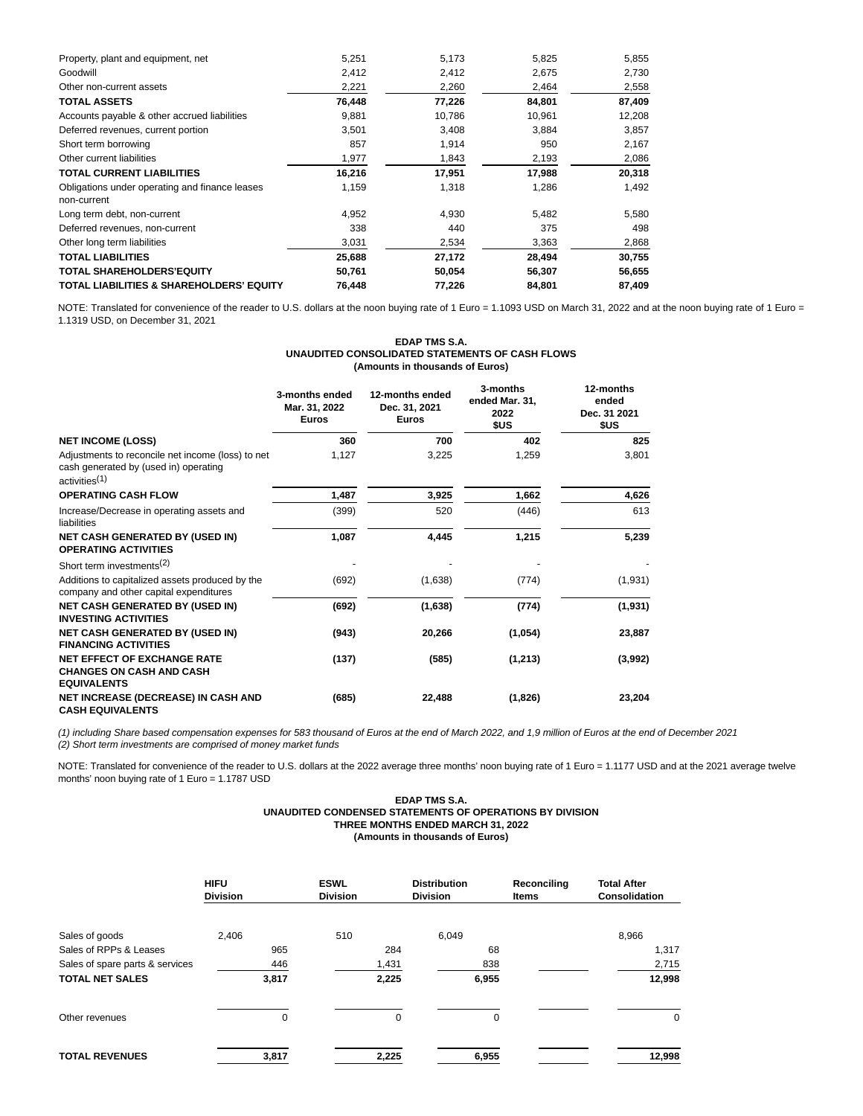| Property, plant and equipment, net                            | 5,251  | 5,173  | 5,825  | 5,855  |
|---------------------------------------------------------------|--------|--------|--------|--------|
| Goodwill                                                      | 2,412  | 2,412  | 2,675  | 2,730  |
| Other non-current assets                                      | 2,221  | 2,260  | 2,464  | 2,558  |
| <b>TOTAL ASSETS</b>                                           | 76,448 | 77,226 | 84,801 | 87,409 |
| Accounts payable & other accrued liabilities                  | 9,881  | 10,786 | 10,961 | 12,208 |
| Deferred revenues, current portion                            | 3,501  | 3,408  | 3,884  | 3,857  |
| Short term borrowing                                          | 857    | 1,914  | 950    | 2,167  |
| Other current liabilities                                     | 1,977  | 1,843  | 2,193  | 2,086  |
| <b>TOTAL CURRENT LIABILITIES</b>                              | 16,216 | 17,951 | 17,988 | 20,318 |
| Obligations under operating and finance leases<br>non-current | 1,159  | 1,318  | 1,286  | 1,492  |
| Long term debt, non-current                                   | 4,952  | 4,930  | 5,482  | 5,580  |
| Deferred revenues, non-current                                | 338    | 440    | 375    | 498    |
| Other long term liabilities                                   | 3,031  | 2,534  | 3,363  | 2,868  |
| TOTAL LIABILITIES                                             | 25,688 | 27,172 | 28,494 | 30,755 |
| <b>TOTAL SHAREHOLDERS'EQUITY</b>                              | 50,761 | 50,054 | 56,307 | 56,655 |
| TOTAL LIABILITIES & SHAREHOLDERS' EQUITY                      | 76,448 | 77,226 | 84,801 | 87,409 |

NOTE: Translated for convenience of the reader to U.S. dollars at the noon buying rate of 1 Euro = 1.1093 USD on March 31, 2022 and at the noon buying rate of 1 Euro = 1.1319 USD, on December 31, 2021

### **EDAP TMS S.A. UNAUDITED CONSOLIDATED STATEMENTS OF CASH FLOWS (Amounts in thousands of Euros)**

|                                                                                                                         | 3-months ended<br>Mar. 31, 2022<br><b>Euros</b> | 12-months ended<br>Dec. 31, 2021<br><b>Euros</b> | 3-months<br>ended Mar. 31.<br>2022<br>\$US | 12-months<br>ended<br>Dec. 31 2021<br>\$US |
|-------------------------------------------------------------------------------------------------------------------------|-------------------------------------------------|--------------------------------------------------|--------------------------------------------|--------------------------------------------|
| <b>NET INCOME (LOSS)</b>                                                                                                | 360                                             | 700                                              | 402                                        | 825                                        |
| Adjustments to reconcile net income (loss) to net<br>cash generated by (used in) operating<br>activities <sup>(1)</sup> | 1,127                                           | 3,225                                            | 1,259                                      | 3,801                                      |
| <b>OPERATING CASH FLOW</b>                                                                                              | 1,487                                           | 3,925                                            | 1,662                                      | 4,626                                      |
| Increase/Decrease in operating assets and<br>liabilities                                                                | (399)                                           | 520                                              | (446)                                      | 613                                        |
| <b>NET CASH GENERATED BY (USED IN)</b><br><b>OPERATING ACTIVITIES</b>                                                   | 1,087                                           | 4,445                                            | 1,215                                      | 5,239                                      |
| Short term investments <sup>(2)</sup>                                                                                   |                                                 |                                                  |                                            |                                            |
| Additions to capitalized assets produced by the<br>company and other capital expenditures                               | (692)                                           | (1,638)                                          | (774)                                      | (1,931)                                    |
| <b>NET CASH GENERATED BY (USED IN)</b><br><b>INVESTING ACTIVITIES</b>                                                   | (692)                                           | (1,638)                                          | (774)                                      | (1,931)                                    |
| <b>NET CASH GENERATED BY (USED IN)</b><br><b>FINANCING ACTIVITIES</b>                                                   | (943)                                           | 20,266                                           | (1,054)                                    | 23,887                                     |
| <b>NET EFFECT OF EXCHANGE RATE</b><br><b>CHANGES ON CASH AND CASH</b><br><b>EQUIVALENTS</b>                             | (137)                                           | (585)                                            | (1,213)                                    | (3,992)                                    |
| <b>NET INCREASE (DECREASE) IN CASH AND</b><br><b>CASH EQUIVALENTS</b>                                                   | (685)                                           | 22,488                                           | (1,826)                                    | 23,204                                     |

(1) including Share based compensation expenses for 583 thousand of Euros at the end of March 2022, and 1,9 million of Euros at the end of December 2021  $(2)$  Short term investments are comprised of money market funds

NOTE: Translated for convenience of the reader to U.S. dollars at the 2022 average three months' noon buying rate of 1 Euro = 1.1177 USD and at the 2021 average twelve months' noon buying rate of 1 Euro = 1.1787 USD

#### **EDAP TMS S.A. UNAUDITED CONDENSED STATEMENTS OF OPERATIONS BY DIVISION THREE MONTHS ENDED MARCH 31, 2022 (Amounts in thousands of Euros)**

|                                 | <b>HIFU</b><br><b>Division</b> | <b>ESWL</b><br><b>Division</b> | <b>Distribution</b><br><b>Division</b> | Reconciling<br><b>Items</b> | <b>Total After</b><br><b>Consolidation</b> |
|---------------------------------|--------------------------------|--------------------------------|----------------------------------------|-----------------------------|--------------------------------------------|
| Sales of goods                  | 2,406                          | 510                            | 6,049                                  |                             | 8,966                                      |
| Sales of RPPs & Leases          | 965                            | 284                            | 68                                     |                             | 1,317                                      |
| Sales of spare parts & services | 446                            | 1,431                          | 838                                    |                             | 2,715                                      |
| <b>TOTAL NET SALES</b>          | 3,817                          | 2,225                          | 6,955                                  |                             | 12,998                                     |
| Other revenues                  | $\Omega$                       | 0                              | 0                                      |                             | 0                                          |
| <b>TOTAL REVENUES</b>           | 3,817                          | 2.225                          | 6,955                                  |                             | 12,998                                     |